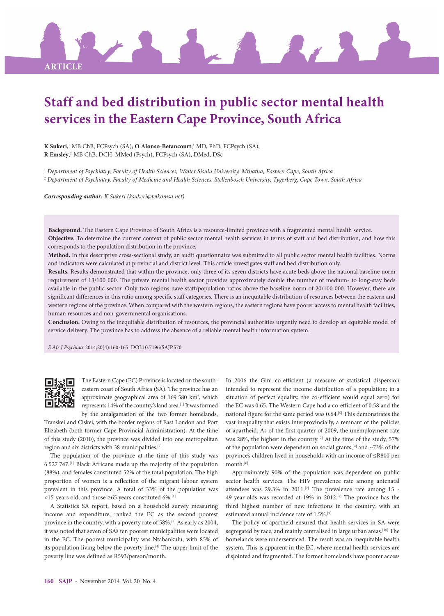

# **Staff and bed distribution in public sector mental health services in the Eastern Cape Province, South Africa**

**K Sukeri**, 1 MB ChB, FCPsych (SA); **O Alonso-Betancourt**, 1 MD, PhD, FCPsych (SA); **R Emsley**, 2 MB ChB, DCH, MMed (Psych), FCPsych (SA), DMed, DSc

<sup>1</sup> *Department of Psychiatry, Faculty of Health Sciences, Walter Sisulu University, Mthatha, Eastern Cape, South Africa*

2  *Department of Psychiatry, Faculty of Medicine and Health Sciences, Stellenbosch University, Tygerberg, Cape Town, South Africa*

*Corresponding author: K Sukeri (ksukeri@telkomsa.net)*

**Background.** The Eastern Cape Province of South Africa is a resource-limited province with a fragmented mental health service. **Objective.** To determine the current context of public sector mental health services in terms of staff and bed distribution, and how this corresponds to the population distribution in the province.

**Method.** In this descriptive cross-sectional study, an audit questionnaire was submitted to all public sector mental health facilities. Norms and indicators were calculated at provincial and district level. This article investigates staff and bed distribution only.

**Results.** Results demonstrated that within the province, only three of its seven districts have acute beds above the national baseline norm requirement of 13/100 000. The private mental health sector provides approximately double the number of medium- to long-stay beds available in the public sector. Only two regions have staff/population ratios above the baseline norm of 20/100 000. However, there are significant differences in this ratio among specific staff categories. There is an inequitable distribution of resources between the eastern and western regions of the province. When compared with the western regions, the eastern regions have poorer access to mental health facilities, human resources and non-governmental organisations.

**Conclusion.** Owing to the inequitable distribution of resources, the provincial authorities urgently need to develop an equitable model of service delivery. The province has to address the absence of a reliable mental health information system.

*S Afr J Psychiatr* 2014;20(4):160-165. DOI:10.7196/SAJP.570



The Eastern Cape (EC) Province is located on the southeastern coast of South Africa (SA). The province has an approximate geographical area of 169 580 km<sup>2</sup>, which represents 14% of the country's land area.[1] It was formed

by the amalgamation of the two former homelands, Transkei and Ciskei, with the border regions of East London and Port Elizabeth (both former Cape Provincial Administration). At the time of this study (2010), the province was divided into one metropolitan region and six districts with 38 municipalities.[2]

The population of the province at the time of this study was 6 527 747.[1] Black Africans made up the majority of the population (88%), and females constituted 52% of the total population. The high proportion of women is a reflection of the migrant labour system prevalent in this province. A total of 33% of the population was <15 years old, and those ≥65 years constituted 6%.[1]

A Statistics SA report, based on a household survey measuring income and expenditure, ranked the EC as the second poorest province in the country, with a poverty rate of 58%.[3] As early as 2004, it was noted that seven of SA's ten poorest municipalities were located in the EC. The poorest municipality was Ntabankulu, with 85% of its population living below the poverty line.<sup>[4]</sup> The upper limit of the poverty line was defined as R593/person/month.

In 2006 the Gini co-efficient (a measure of statistical dispersion intended to represent the income distribution of a population; in a situation of perfect equality, the co-efficient would equal zero) for the EC was 0.65. The Western Cape had a co-efficient of 0.58 and the national figure for the same period was 0.64.[5] This demonstrates the vast inequality that exists interprovincially, a remnant of the policies of apartheid. As of the first quarter of 2009, the unemployment rate was 28%, the highest in the country.<sup>[2]</sup> At the time of the study, 57% of the population were dependent on social grants,  $[4]$  and  $\sim$ 73% of the province's children lived in households with an income of ≤R800 per month.<sup>[6]</sup>

Approximately 90% of the population was dependent on public sector health services. The HIV prevalence rate among antenatal attendees was 29.3% in 2011.[7] The prevalence rate among 15 - 49-year-olds was recorded at 19% in 2012.<sup>[8]</sup> The province has the third highest number of new infections in the country, with an estimated annual incidence rate of 1.5%.[9]

The policy of apartheid ensured that health services in SA were segregated by race, and mainly centralised in large urban areas.<sup>[10]</sup> The homelands were underserviced. The result was an inequitable health system. This is apparent in the EC, where mental health services are disjointed and fragmented. The former homelands have poorer access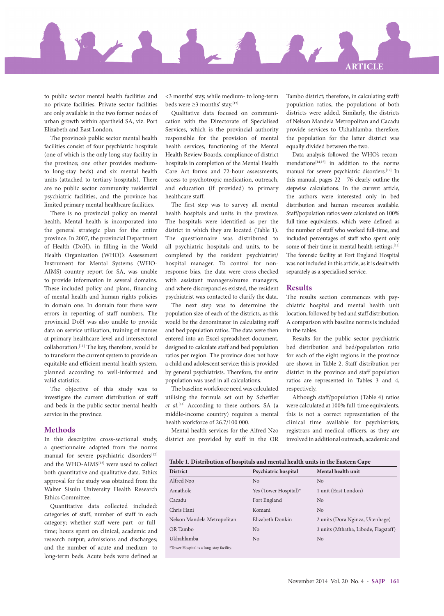## **ARTICLE**

to public sector mental health facilities and no private facilities. Private sector facilities are only available in the two former nodes of urban growth within apartheid SA, viz. Port Elizabeth and East London.

The province's public sector mental health facilities consist of four psychiatric hospitals (one of which is the only long-stay facility in the province; one other provides mediumto long-stay beds) and six mental health units (attached to tertiary hospitals). There are no public sector community residential psychiatric facilities, and the province has limited primary mental healthcare facilities.

There is no provincial policy on mental health. Mental health is incorporated into the general strategic plan for the entire province. In 2007, the provincial Department of Health (DoH), in filling in the World Health Organization (WHO)'s Assessment Instrument for Mental Systems (WHO-AIMS) country report for SA, was unable to provide information in several domains. These included policy and plans, financing of mental health and human rights policies in domain one. In domain four there were errors in reporting of staff numbers. The provincial DoH was also unable to provide data on service utilisation, training of nurses at primary healthcare level and intersectoral collaboration.[11] The key, therefore, would be to transform the current system to provide an equitable and efficient mental health system, planned according to well-informed and valid statistics.

The objective of this study was to investigate the current distribution of staff and beds in the public sector mental health service in the province.

## **Methods**

In this descriptive cross-sectional study, a questionnaire adapted from the norms manual for severe psychiatric disorders<sup>[12]</sup> and the WHO-AIMS<sup>[13]</sup> were used to collect both quantitative and qualitative data. Ethics approval for the study was obtained from the Walter Sisulu University Health Research Ethics Committee.

Quantitative data collected included: categories of staff; number of staff in each category; whether staff were part- or fulltime; hours spent on clinical, academic and research output; admissions and discharges; and the number of acute and medium- to long-term beds. Acute beds were defined as <3 months' stay, while medium- to long-term beds were ≥3 months' stay.[12]

Qualitative data focused on communication with the Directorate of Specialised Services, which is the provincial authority responsible for the provision of mental health services, functioning of the Mental Health Review Boards, compliance of district hospitals in completion of the Mental Health Care Act forms and 72-hour assessments, access to psychotropic medication, outreach, and education (if provided) to primary healthcare staff.

The first step was to survey all mental health hospitals and units in the province. The hospitals were identified as per the district in which they are located (Table 1). The questionnaire was distributed to all psychiatric hospitals and units, to be completed by the resident psychiatrist/ hospital manager. To control for nonresponse bias, the data were cross-checked with assistant managers/nurse managers, and where discrepancies existed, the resident psychiatrist was contacted to clarify the data.

The next step was to determine the population size of each of the districts, as this would be the denominator in calculating staff and bed population ratios. The data were then entered into an Excel spreadsheet document, designed to calculate staff and bed population ratios per region. The province does not have a child and adolescent service; this is provided by general psychiatrists. Therefore, the entire population was used in all calculations.

The baseline workforce need was calculated utilising the formula set out by Scheffler *et al*. [14] According to these authors, SA (a middle-income country) requires a mental health workforce of 26.7/100 000.

Mental health services for the Alfred Nzo district are provided by staff in the OR Tambo district; therefore, in calculating staff/ population ratios, the populations of both districts were added. Similarly, the districts of Nelson Mandela Metropolitan and Cacadu provide services to Ukhahlamba; therefore, the population for the latter district was equally divided between the two.

Data analysis followed the WHO's recommendations[14,15] in addition to the norms manual for severe psychiatric disorders.[12] In this manual, pages 22 - 76 clearly outline the stepwise calculations. In the current article, the authors were interested only in bed distribution and human resources available. Staff/population ratios were calculated on 100% full-time equivalents, which were defined as the number of staff who worked full-time, and included percentages of staff who spent only some of their time in mental health settings.<sup>[12]</sup> The forensic facility at Fort England Hospital was not included in this article, as it is dealt with separately as a specialised service.

### **Results**

The results section commences with psychiatric hospital and mental health unit location, followed by bed and staff distribution. A comparison with baseline norms is included in the tables.

Results for the public sector psychiatric bed distribution and bed/population ratio for each of the eight regions in the province are shown in Table 2. Staff distribution per district in the province and staff population ratios are represented in Tables 3 and 4, respectively.

Although staff/population (Table 4) ratios were calculated at 100% full-time equivalents, this is not a correct representation of the clinical time available for psychiatrists, registrars and medical officers, as they are involved in additional outreach, academic and

| Table 1. Distribution of hospitals and mental health units in the Eastern Cape |  |
|--------------------------------------------------------------------------------|--|
|--------------------------------------------------------------------------------|--|

| <b>District</b>                          | Psychiatric hospital  | Mental health unit                   |
|------------------------------------------|-----------------------|--------------------------------------|
| Alfred Nzo                               | N <sub>o</sub>        | N <sub>0</sub>                       |
| Amathole                                 | Yes (Tower Hospital)* | 1 unit (East London)                 |
| Cacadu                                   | Fort England          | N <sub>0</sub>                       |
| Chris Hani                               | Komani                | N <sub>0</sub>                       |
| Nelson Mandela Metropolitan              | Elizabeth Donkin      | 2 units (Dora Nginza, Uitenhage)     |
| OR Tambo                                 | N <sub>o</sub>        | 3 units (Mthatha, Libode, Flagstaff) |
| Ukhahlamba                               | No                    | N <sub>0</sub>                       |
| *Tower Hospital is a long-stay facility. |                       |                                      |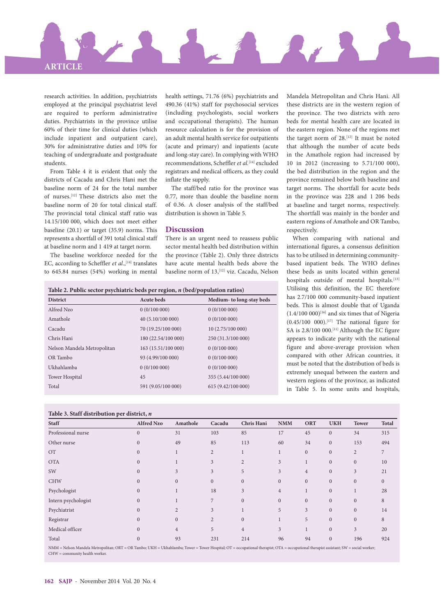

research activities. In addition, psychiatrists employed at the principal psychiatrist level are required to perform administrative duties. Psychiatrists in the province utilise 60% of their time for clinical duties (which include inpatient and outpatient care), 30% for administrative duties and 10% for teaching of undergraduate and postgraduate students.

From Table 4 it is evident that only the districts of Cacadu and Chris Hani met the baseline norm of 24 for the total number of nurses.[12] These districts also met the baseline norm of 20 for total clinical staff. The provincial total clinical staff ratio was 14.15/100 000, which does not meet either baseline (20.1) or target (35.9) norms. This represents a shortfall of 391 total clinical staff at baseline norm and 1 419 at target norm.

The baseline workforce needed for the EC, according to Scheffler *et al.*,<sup>[14]</sup> translates to 645.84 nurses (54%) working in mental

health settings, 71.76 (6%) psychiatrists and 490.36 (41%) staff for psychosocial services (including psychologists, social workers and occupational therapists). The human resource calculation is for the provision of an adult mental health service for outpatients (acute and primary) and inpatients (acute and long-stay care). In complying with WHO recommendations, Scheffler et al.<sup>[14]</sup> excluded registrars and medical officers, as they could inflate the supply.

The staff/bed ratio for the province was 0.77, more than double the baseline norm of 0.36. A closer analysis of the staff/bed distribution is shown in Table 5.

#### **Discussion**

There is an urgent need to reassess public sector mental health bed distribution within the province (Table 2). Only three districts have acute mental health beds above the baseline norm of 13,<sup>[12]</sup> viz. Cacadu, Nelson Mandela Metropolitan and Chris Hani. All these districts are in the western region of the province. The two districts with zero beds for mental health care are located in the eastern region. None of the regions met the target norm of 28.<sup>[12]</sup> It must be noted that although the number of acute beds in the Amathole region had increased by 10 in 2012 (increasing to 5.71/100 000), the bed distribution in the region and the province remained below both baseline and target norms. The shortfall for acute beds in the province was 228 and 1 206 beds at baseline and target norms, respectively. The shortfall was mainly in the border and eastern regions of Amathole and OR Tambo, respectively.

When comparing with national and international figures, a consensus definition has to be utilised in determining communitybased inpatient beds. The WHO defines these beds as units located within general hospitals outside of mental hospitals.<sup>[13]</sup> Utilising this definition, the EC therefore has 2.7/100 000 community-based inpatient beds. This is almost double that of Uganda  $(1.4/100\ 000)^{[16]}$  and six times that of Nigeria  $(0.45/100 000).$ <sup>[17]</sup> The national figure for SA is 2.8/100 000.<sup>[11]</sup> Although the EC figure appears to indicate parity with the national figure and above-average provision when compared with other African countries, it must be noted that the distribution of beds is extremely unequal between the eastern and western regions of the province, as indicated in Table 5. In some units and hospitals,

| Table 2. Public sector psychiatric beds per region, $n$ (bed/population ratios) |                     |                          |  |  |  |  |  |
|---------------------------------------------------------------------------------|---------------------|--------------------------|--|--|--|--|--|
| <b>District</b>                                                                 | <b>Acute beds</b>   | Medium-to long-stay beds |  |  |  |  |  |
| Alfred Nzo                                                                      | 0(0/100000)         | 0(0/100000)              |  |  |  |  |  |
| Amathole                                                                        | 40 (5.10/100 000)   | 0(0/100000)              |  |  |  |  |  |
| Cacadu                                                                          | 70 (19.25/100 000)  | 10 (2.75/100 000)        |  |  |  |  |  |
| Chris Hani                                                                      | 180 (22.54/100 000) | 250 (31.3/100 000)       |  |  |  |  |  |
| Nelson Mandela Metropolitan                                                     | 163 (15.51/100 000) | 0(0/100000)              |  |  |  |  |  |
| OR Tambo                                                                        | 93 (4.99/100 000)   | 0(0/100000)              |  |  |  |  |  |
| Ukhahlamba                                                                      | 0(0/100000)         | 0(0/100000)              |  |  |  |  |  |
| Tower Hospital                                                                  | 45                  | 355 (5.44/100 000)       |  |  |  |  |  |
| Total                                                                           | 591 (9.05/100 000)  | 615 (9.42/100 000)       |  |  |  |  |  |
|                                                                                 |                     |                          |  |  |  |  |  |

#### **Table 3. Staff distribution per district,** *n*

| <b>Staff</b>        | Alfred Nzo   | Amathole       | Cacadu         | Chris Hani     | <b>NMM</b>     | <b>ORT</b>     | <b>UKH</b>   | <b>Tower</b>     | <b>Total</b> |
|---------------------|--------------|----------------|----------------|----------------|----------------|----------------|--------------|------------------|--------------|
| Professional nurse  | $\Omega$     | 31             | 103            | 85             | 17             | 45             | $\mathbf{0}$ | 34               | 315          |
| Other nurse         | $\Omega$     | 49             | 85             | 113            | 60             | 34             | $\mathbf{0}$ | 153              | 494          |
| <b>OT</b>           | $\Omega$     |                | $\overline{2}$ | 1              | $\mathbf{1}$   | $\mathbf{0}$   | $\mathbf{0}$ | $\overline{2}$   | 7            |
| <b>OTA</b>          | $\mathbf{0}$ |                | 3              | $\overline{2}$ | 3              | 1              | $\mathbf{0}$ | $\boldsymbol{0}$ | 10           |
| SW                  | $\mathbf{0}$ | 3              | 3              | 5              | 3              | $\overline{4}$ | $\mathbf{0}$ | 3                | 21           |
| <b>CHW</b>          | $\Omega$     | $\mathbf{0}$   | $\mathbf{0}$   | $\mathbf{0}$   | $\mathbf{0}$   | $\mathbf{0}$   | $\mathbf{0}$ | $\mathbf{0}$     | $\mathbf{0}$ |
| Psychologist        | $\Omega$     |                | 18             | 3              | $\overline{4}$ | 1              | $\mathbf{0}$ | 1                | 28           |
| Intern psychologist | $\mathbf{0}$ |                | 7              | $\mathbf{0}$   | $\mathbf{0}$   | $\mathbf{0}$   | $\mathbf{0}$ | $\mathbf{0}$     | 8            |
| Psychiatrist        | $\mathbf{0}$ | $\overline{2}$ | 3              | $\mathbf{1}$   | 5              | 3              | $\mathbf{0}$ | $\mathbf{0}$     | 14           |
| Registrar           | $\mathbf{0}$ | $\mathbf{0}$   | $\overline{2}$ | $\mathbf{0}$   |                | 5              | $\mathbf{0}$ | $\mathbf{0}$     | 8            |
| Medical officer     | $\Omega$     | $\overline{4}$ | 5              | $\overline{4}$ | 3              |                | $\mathbf{0}$ | 3                | 20           |
| Total               | $\mathbf{0}$ | 93             | 231            | 214            | 96             | 94             | $\mathbf{0}$ | 196              | 924          |

NMM = Nelson Mandela Metropolitan; ORT = OR Tambo; UKH = Ukhahlamba; Tower = Tower Hospital; OT = occupational therapist; OTA = occupational therapist assistant; SW = social worker; CHW = community health worker.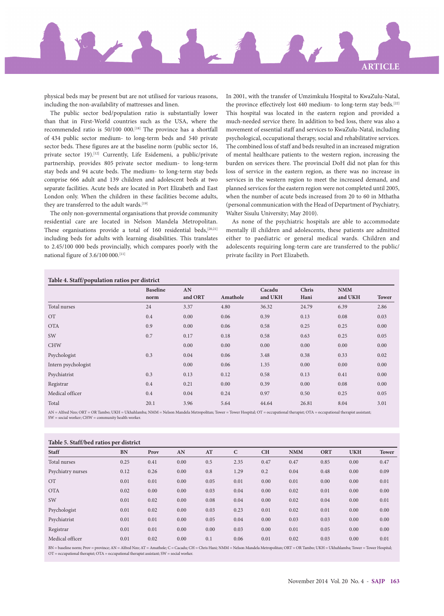

physical beds may be present but are not utilised for various reasons, including the non-availability of mattresses and linen.

The public sector bed/population ratio is substantially lower than that in First-World countries such as the USA, where the recommended ratio is 50/100 000.[18] The province has a shortfall of 434 public sector medium- to long-term beds and 540 private sector beds. These figures are at the baseline norm (public sector 16, private sector 19).<sup>[12]</sup> Currently, Life Esidemeni, a public/private partnership, provides 805 private sector medium- to long-term stay beds and 94 acute beds. The medium- to long-term stay beds comprise 666 adult and 139 children and adolescent beds at two separate facilities. Acute beds are located in Port Elizabeth and East London only. When the children in these facilities become adults, they are transferred to the adult wards.<sup>[19]</sup>

The only non-governmental organisations that provide community residential care are located in Nelson Mandela Metropolitan. These organisations provide a total of  $160$  residential beds,<sup>[20,21]</sup> including beds for adults with learning disabilities. This translates to 2.45/100 000 beds provincially, which compares poorly with the national figure of 3.6/100 000.[11]

In 2001, with the transfer of Umzimkulu Hospital to KwaZulu-Natal, the province effectively lost 440 medium- to long-term stay beds.<sup>[22]</sup> This hospital was located in the eastern region and provided a much-needed service there. In addition to bed loss, there was also a movement of essential staff and services to KwaZulu-Natal, including psychological, occupational therapy, social and rehabilitative services. The combined loss of staff and beds resulted in an increased migration of mental healthcare patients to the western region, increasing the burden on services there. The provincial DoH did not plan for this loss of service in the eastern region, as there was no increase in services in the western region to meet the increased demand, and planned services for the eastern region were not completed until 2005, when the number of acute beds increased from 20 to 60 in Mthatha (personal communication with the Head of Department of Psychiatry, Walter Sisulu University; May 2010).

As none of the psychiatric hospitals are able to accommodate mentally ill children and adolescents, these patients are admitted either to paediatric or general medical wards. Children and adolescents requiring long-term care are transferred to the public/ private facility in Port Elizabeth.

| Table 4. Staff/population ratios per district |                         |               |          |                   |               |                       |              |  |
|-----------------------------------------------|-------------------------|---------------|----------|-------------------|---------------|-----------------------|--------------|--|
|                                               | <b>Baseline</b><br>norm | AN<br>and ORT | Amathole | Cacadu<br>and UKH | Chris<br>Hani | <b>NMM</b><br>and UKH | <b>Tower</b> |  |
| Total nurses                                  | 24                      | 3.37          | 4.80     | 36.32             | 24.79         | 6.39                  | 2.86         |  |
| <b>OT</b>                                     | 0.4                     | 0.00          | 0.06     | 0.39              | 0.13          | 0.08                  | 0.03         |  |
| <b>OTA</b>                                    | 0.9                     | 0.00          | 0.06     | 0.58              | 0.25          | 0.25                  | 0.00         |  |
| SW                                            | 0.7                     | 0.17          | 0.18     | 0.58              | 0.63          | 0.25                  | 0.05         |  |
| <b>CHW</b>                                    |                         | 0.00          | 0.00     | 0.00              | 0.00          | 0.00                  | 0.00         |  |
| Psychologist                                  | 0.3                     | 0.04          | 0.06     | 3.48              | 0.38          | 0.33                  | 0.02         |  |
| Intern psychologist                           |                         | 0.00          | 0.06     | 1.35              | 0.00          | 0.00                  | 0.00         |  |
| Psychiatrist                                  | 0.3                     | 0.13          | 0.12     | 0.58              | 0.13          | 0.41                  | 0.00         |  |
| Registrar                                     | 0.4                     | 0.21          | 0.00     | 0.39              | 0.00          | 0.08                  | 0.00         |  |
| Medical officer                               | 0.4                     | 0.04          | 0.24     | 0.97              | 0.50          | 0.25                  | 0.05         |  |
| Total                                         | 20.1                    | 3.96          | 5.64     | 44.64             | 26.81         | 8.04                  | 3.01         |  |

AN = Alfred Nzo; ORT = OR Tambo; UKH = Ukhahlamba; NMM = Nelson Mandela Metropolitan; Tower = Tower Hospital; OT = occupational therapist; OTA = occupational therapist assistant;  $SW = social worker$ :  $CHW = community health worker$ 

| Table 5. Staff/bed ratios per district |           |      |      |      |      |           |            |            |            |              |
|----------------------------------------|-----------|------|------|------|------|-----------|------------|------------|------------|--------------|
| <b>Staff</b>                           | <b>BN</b> | Prov | AN   | AT   | C    | <b>CH</b> | <b>NMM</b> | <b>ORT</b> | <b>UKH</b> | <b>Tower</b> |
| Total nurses                           | 0.25      | 0.41 | 0.00 | 0.5  | 2.35 | 0.47      | 0.47       | 0.85       | 0.00       | 0.47         |
| Psychiatry nurses                      | 0.12      | 0.26 | 0.00 | 0.8  | 1.29 | 0.2       | 0.04       | 0.48       | 0.00       | 0.09         |
| <b>OT</b>                              | 0.01      | 0.01 | 0.00 | 0.05 | 0.01 | 0.00      | 0.01       | 0.00       | 0.00       | 0.01         |
| <b>OTA</b>                             | 0.02      | 0.00 | 0.00 | 0.03 | 0.04 | 0.00      | 0.02       | 0.01       | 0.00       | 0.00         |
| <b>SW</b>                              | 0.01      | 0.02 | 0.00 | 0.08 | 0.04 | 0.00      | 0.02       | 0.04       | 0.00       | 0.01         |
| Psychologist                           | 0.01      | 0.02 | 0.00 | 0.03 | 0.23 | 0.01      | 0.02       | 0.01       | 0.00       | 0.00         |
| Psychiatrist                           | 0.01      | 0.01 | 0.00 | 0.05 | 0.04 | 0.00      | 0.03       | 0.03       | 0.00       | 0.00         |
| Registrar                              | 0.01      | 0.01 | 0.00 | 0.00 | 0.03 | 0.00      | 0.01       | 0.05       | 0.00       | 0.00         |
| Medical officer                        | 0.01      | 0.02 | 0.00 | 0.1  | 0.06 | 0.01      | 0.02       | 0.03       | 0.00       | 0.01         |

BN = baseline norm; Prov = province; AN = Alfred Nzo; AT = Amathole; C = Cacadu; CH = Chris Hani; NMM = Nelson Mandela Metropolitan; ORT = OR Tambo; UKH = Ukhahlamba; Tower = Tower Hospital; OT = occupational therapist; OTA = occupational therapist assistant; SW = social worker.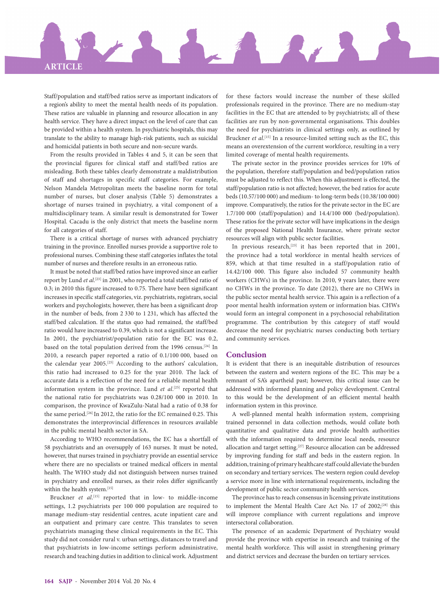

Staff/population and staff/bed ratios serve as important indicators of a region's ability to meet the mental health needs of its population. These ratios are valuable in planning and resource allocation in any health service. They have a direct impact on the level of care that can be provided within a health system. In psychiatric hospitals, this may translate to the ability to manage high-risk patients, such as suicidal and homicidal patients in both secure and non-secure wards.

From the results provided in Tables 4 and 5, it can be seen that the provincial figures for clinical staff and staff/bed ratios are misleading. Both these tables clearly demonstrate a maldistribution of staff and shortages in specific staff categories. For example, Nelson Mandela Metropolitan meets the baseline norm for total number of nurses, but closer analysis (Table 5) demonstrates a shortage of nurses trained in psychiatry, a vital component of a multidisciplinary team. A similar result is demonstrated for Tower Hospital. Cacadu is the only district that meets the baseline norm for all categories of staff.

There is a critical shortage of nurses with advanced psychiatry training in the province. Enrolled nurses provide a supportive role to professional nurses. Combining these staff categories inflates the total number of nurses and therefore results in an erroneous ratio.

It must be noted that staff/bed ratios have improved since an earlier report by Lund *et al*. [23] in 2001, who reported a total staff/bed ratio of 0.3; in 2010 this figure increased to 0.75. There have been significant increases in specific staff categories, viz. psychiatrists, registrars, social workers and psychologists; however, there has been a significant drop in the number of beds, from 2 330 to 1 231, which has affected the staff/bed calculation. If the status quo had remained, the staff/bed ratio would have increased to 0.39, which is not a significant increase. In 2001, the psychiatrist/population ratio for the EC was 0.2, based on the total population derived from the 1996 census.<sup>[24]</sup> In 2010, a research paper reported a ratio of 0.1/100 000, based on the calendar year 2005.[25] According to the authors' calculation, this ratio had increased to 0.25 for the year 2010. The lack of accurate data is a reflection of the need for a reliable mental health information system in the province. Lund *et al*. [25] reported that the national ratio for psychiatrists was 0.28/100 000 in 2010. In comparison, the province of KwaZulu-Natal had a ratio of 0.38 for the same period.<sup>[26]</sup> In 2012, the ratio for the EC remained 0.25. This demonstrates the interprovincial differences in resources available in the public mental health sector in SA.

According to WHO recommendations, the EC has a shortfall of 58 psychiatrists and an oversupply of 163 nurses. It must be noted, however, that nurses trained in psychiatry provide an essential service where there are no specialists or trained medical officers in mental health. The WHO study did not distinguish between nurses trained in psychiatry and enrolled nurses, as their roles differ significantly within the health system.<sup>[15]</sup>

Bruckner *et al.*<sup>[15]</sup> reported that in low- to middle-income settings, 1.2 psychiatrists per 100 000 population are required to manage medium-stay residential centres, acute inpatient care and an outpatient and primary care centre. This translates to seven psychiatrists managing these clinical requirements in the EC. This study did not consider rural v. urban settings, distances to travel and that psychiatrists in low-income settings perform administrative, research and teaching duties in addition to clinical work. Adjustment

for these factors would increase the number of these skilled professionals required in the province. There are no medium-stay facilities in the EC that are attended to by psychiatrists; all of these facilities are run by non-governmental organisations. This doubles the need for psychiatrists in clinical settings only, as outlined by Bruckner *et al.*<sup>[15]</sup> In a resource-limited setting such as the EC, this means an overextension of the current workforce, resulting in a very limited coverage of mental health requirements.

The private sector in the province provides services for 10% of the population, therefore staff/population and bed/population ratios must be adjusted to reflect this. When this adjustment is effected, the staff/population ratio is not affected; however, the bed ratios for acute beds (10.57/100 000) and medium- to long-term beds (10.38/100 000) improve. Comparatively, the ratios for the private sector in the EC are 1.7/100 000 (staff/population) and 14.4/100 000 (bed/population). These ratios for the private sector will have implications in the design of the proposed National Health Insurance, where private sector resources will align with public sector facilities.

In previous research,<sup>[23]</sup> it has been reported that in 2001, the province had a total workforce in mental health services of 859, which at that time resulted in a staff/population ratio of 14.42/100 000. This figure also included 57 community health workers (CHWs) in the province. In 2010, 9 years later, there were no CHWs in the province. To date (2012), there are no CHWs in the public sector mental health service. This again is a reflection of a poor mental health information system or information bias. CHWs would form an integral component in a psychosocial rehabilitation programme. The contribution by this category of staff would decrease the need for psychiatric nurses conducting both tertiary and community services.

## **Conclusion**

It is evident that there is an inequitable distribution of resources between the eastern and western regions of the EC. This may be a remnant of SA's apartheid past; however, this critical issue can be addressed with informed planning and policy development. Central to this would be the development of an efficient mental health information system in this province.

A well-planned mental health information system, comprising trained personnel in data collection methods, would collate both quantitative and qualitative data and provide health authorities with the information required to determine local needs, resource allocation and target setting.<sup>[27]</sup> Resource allocation can be addressed by improving funding for staff and beds in the eastern region. In addition, training of primary healthcare staff could alleviate the burden on secondary and tertiary services. The western region could develop a service more in line with international requirements, including the development of public sector community health services.

The province has to reach consensus in licensing private institutions to implement the Mental Health Care Act No. 17 of 2002;<sup>[28]</sup> this will improve compliance with current regulations and improve intersectoral collaboration.

The presence of an academic Department of Psychiatry would provide the province with expertise in research and training of the mental health workforce. This will assist in strengthening primary and district services and decrease the burden on tertiary services.